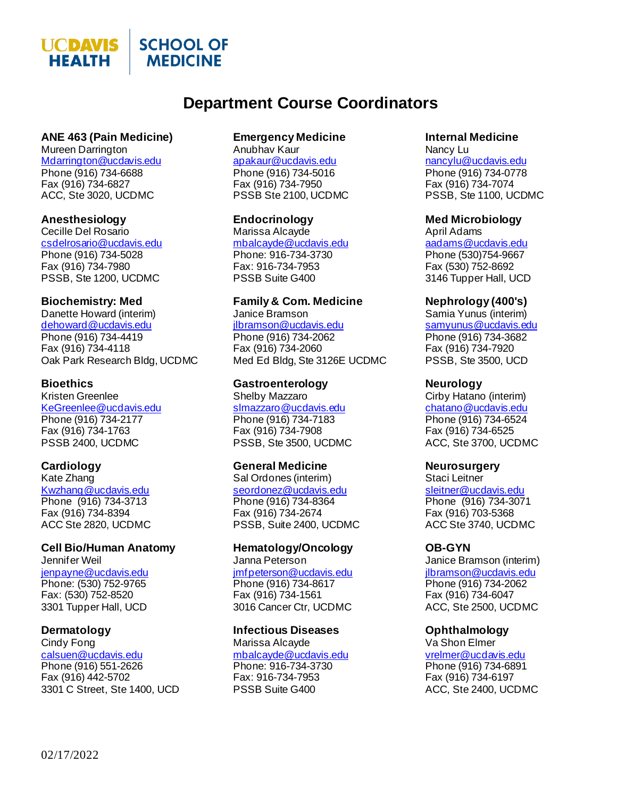

## **Department Course Coordinators**

## **ANE 463 (Pain Medicine)**

Mureen Darrington [Mdarrington@ucdavis.edu](mailto:Mdarrington@ucdavis.edu) Phone (916) 734-6688 Fax (916) 734-6827 ACC, Ste 3020, UCDMC

### **Anesthesiology**

Cecille Del Rosario [csdelrosario@ucdavis.edu](mailto:csdelrosario@ucdavis.edu) Phone (916) 734-5028 Fax (916) 734-7980 PSSB, Ste 1200, UCDMC

### **Biochemistry: Med**

Danette Howard (interim) [dehoward@ucdavis.edu](mailto:dehoward@ucdavis.edu) Phone (916) 734-4419 Fax (916) 734-4118 Oak Park Research Bldg, UCDMC

### **Bioethics**

Kristen Greenlee [KeGreenlee@ucdavis.edu](mailto:KeGreenlee@ucdavis.edu) Phone (916) 734-2177 Fax (916) 734-1763 PSSB 2400, UCDMC

### **Cardiology**

Kate Zhang [Kwzhang@ucdavis.edu](mailto:Kwzhang@ucdavis.edu) Phone (916) 734-3713 Fax (916) 734-8394 ACC Ste 2820, UCDMC

## **Cell Bio/Human Anatomy**

Jennifer Weil [jenpayne@ucdavis.edu](mailto:jenpayne@ucdavis.edu) Phone: (530) 752-9765 Fax: (530) 752-8520 3301 Tupper Hall, UCD

### **Dermatology**

Cindy Fong [calsuen@ucdavis.edu](mailto:calsuen@ucdavis.edu) Phone (916) 551-2626 Fax (916) 442-5702 3301 C Street, Ste 1400, UCD

### **Emergency Medicine**

Anubhav Kaur [apakaur@ucdavis.edu](mailto:apakaur@ucdavis.edu) Phone (916) 734-5016 Fax (916) 734-7950 PSSB Ste 2100, UCDMC

### **Endocrinology**

Marissa Alcayde [mbalcayde@ucdavis.edu](mailto:mbalcayde@ucdavis.edu) Phone: 916-734-3730 Fax: 916-734-7953 PSSB Suite G400

## **Family & Com. Medicine**

Janice Bramson [jlbramson@ucdavis.edu](mailto:jlbramson@ucdavis.edu) Phone (916) 734-2062 Fax (916) 734-2060 Med Ed Bldg, Ste 3126E UCDMC

#### **Gastroenterology** Shelby Mazzaro

[slmazzaro@ucdavis.edu](mailto:slmazzaro@ucdavis.edu) Phone (916) 734-7183 Fax (916) 734-7908 PSSB, Ste 3500, UCDMC

### **General Medicine**

Sal Ordones (interim) [seordonez@ucdavis.edu](mailto:seordonez@ucdavis.edu) Phone (916) 734-8364 Fax (916) 734-2674 PSSB, Suite 2400, UCDMC

#### **Hematology/Oncology** Janna Peterson

[jmfpeterson@ucdavis.edu](mailto:jmfpeterson@ucdavis.edu) Phone (916) 734-8617 Fax (916) 734-1561 3016 Cancer Ctr, UCDMC

### **Infectious Diseases**

Marissa Alcayde [mbalcayde@ucdavis.edu](mailto:mbalcayde@ucdavis.edu) Phone: 916-734-3730 Fax: 916-734-7953 PSSB Suite G400

## **Internal Medicine**

Nancy Lu [nancylu@ucdavis.edu](mailto:nancylu@ucdavis.edu) Phone (916) 734-0778 Fax (916) 734-7074 PSSB, Ste 1100, UCDMC

### **Med Microbiology**

April Adams [aadams@ucdavis.edu](mailto:aadams@ucdavis.edu) Phone (530)754-9667 Fax (530) 752-8692 3146 Tupper Hall, UCD

### **Nephrology (400's)**

Samia Yunus (interim) [samyunus@ucdavis.edu](mailto:samyunus@ucdavis.edu) Phone (916) 734-3682 Fax (916) 734-7920 PSSB, Ste 3500, UCD

### **Neurology**

Cirby Hatano (interim) [chatano@ucdavis.edu](mailto:chatano@ucdavis.edu) Phone (916) 734-6524 Fax (916) 734-6525 ACC, Ste 3700, UCDMC

### **Neurosurgery**

Staci Leitner [sleitner@ucdavis.edu](mailto:sleitner@ucdavis.edu) Phone (916) 734-3071 Fax (916) 703-5368 ACC Ste 3740, UCDMC

### **OB-GYN**

Janice Bramson (interim) [jlbramson@ucdavis.edu](mailto:jlbramson@ucdavis.edu) Phone (916) 734-2062 Fax (916) 734-6047 ACC, Ste 2500, UCDMC

### **Ophthalmology**

Va Shon Elmer [vrelmer@ucdavis.edu](mailto:vrelmer@ucdavis.edu) Phone (916) 734-6891 Fax (916) 734-6197 ACC, Ste 2400, UCDMC